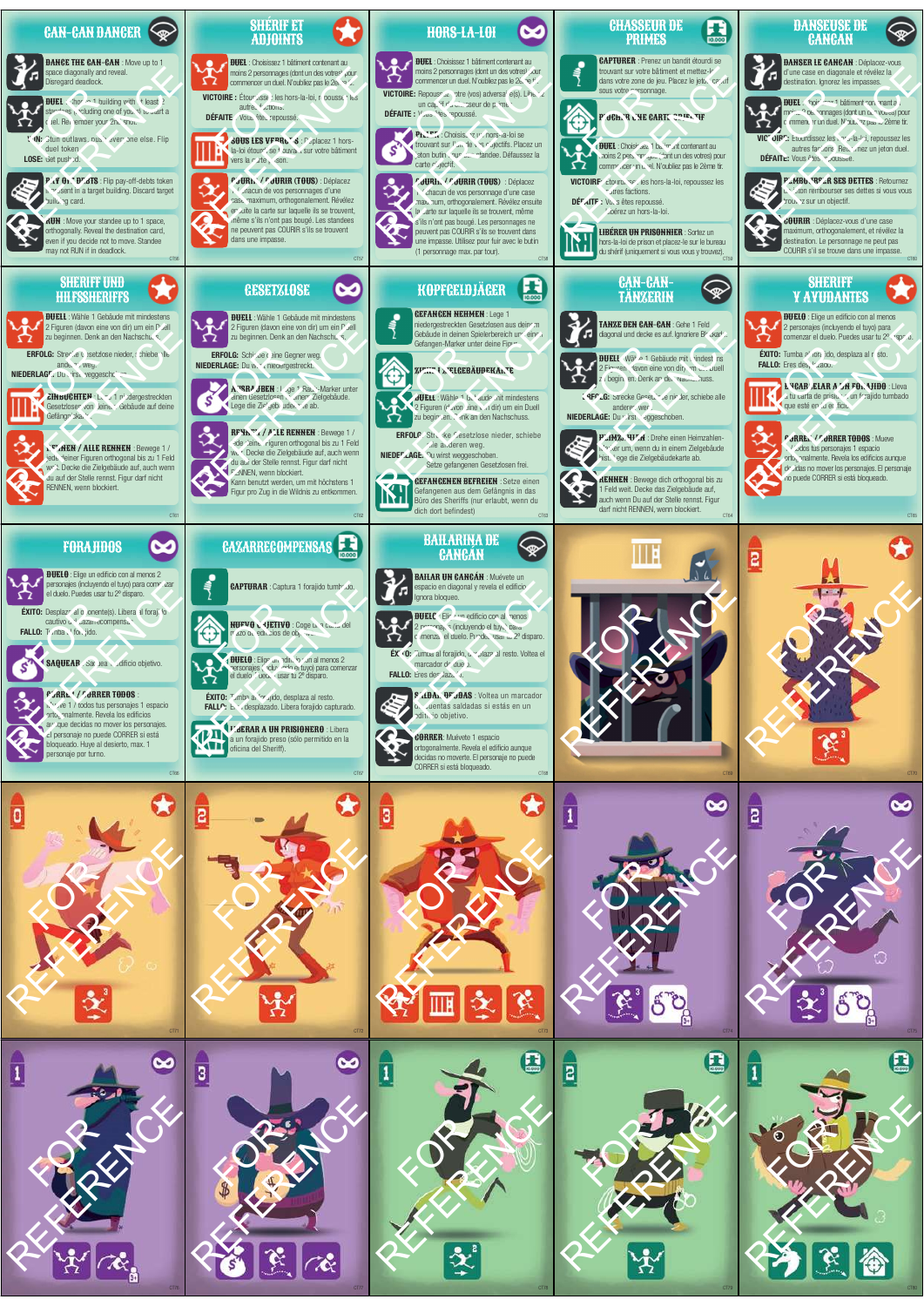